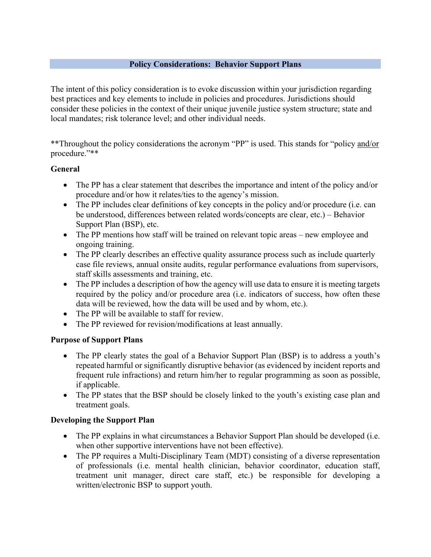#### **Policy Considerations: Behavior Support Plans**

The intent of this policy consideration is to evoke discussion within your jurisdiction regarding best practices and key elements to include in policies and procedures. Jurisdictions should consider these policies in the context of their unique juvenile justice system structure; state and local mandates; risk tolerance level; and other individual needs.

\*\*Throughout the policy considerations the acronym "PP" is used. This stands for "policy and/or procedure."\*\*

#### **General**

- The PP has a clear statement that describes the importance and intent of the policy and/or procedure and/or how it relates/ties to the agency's mission.
- The PP includes clear definitions of key concepts in the policy and/or procedure (i.e. can be understood, differences between related words/concepts are clear, etc.) – Behavior Support Plan (BSP), etc.
- The PP mentions how staff will be trained on relevant topic areas new employee and ongoing training.
- The PP clearly describes an effective quality assurance process such as include quarterly case file reviews, annual onsite audits, regular performance evaluations from supervisors, staff skills assessments and training, etc.
- The PP includes a description of how the agency will use data to ensure it is meeting targets required by the policy and/or procedure area (i.e. indicators of success, how often these data will be reviewed, how the data will be used and by whom, etc.).
- The PP will be available to staff for review.
- The PP reviewed for revision/modifications at least annually.

### **Purpose of Support Plans**

- The PP clearly states the goal of a Behavior Support Plan (BSP) is to address a youth's repeated harmful or significantly disruptive behavior (as evidenced by incident reports and frequent rule infractions) and return him/her to regular programming as soon as possible, if applicable.
- The PP states that the BSP should be closely linked to the youth's existing case plan and treatment goals.

### **Developing the Support Plan**

- The PP explains in what circumstances a Behavior Support Plan should be developed (i.e. when other supportive interventions have not been effective).
- The PP requires a Multi-Disciplinary Team (MDT) consisting of a diverse representation of professionals (i.e. mental health clinician, behavior coordinator, education staff, treatment unit manager, direct care staff, etc.) be responsible for developing a written/electronic BSP to support youth.